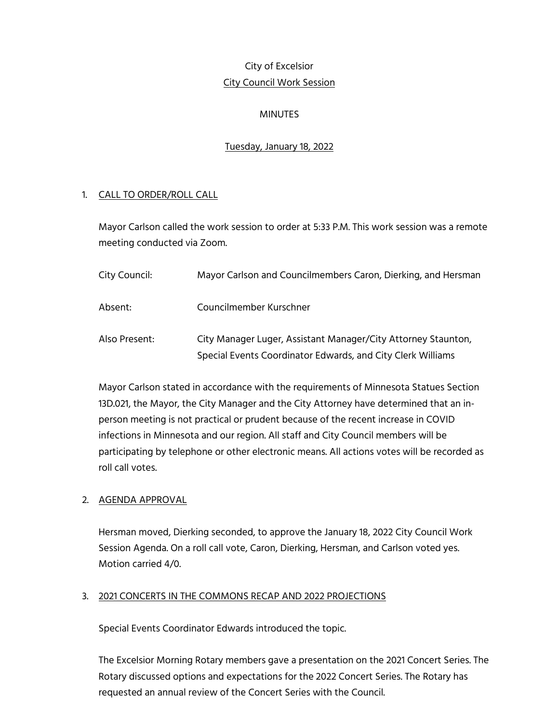# City of Excelsior City Council Work Session

# MINUTES

### Tuesday, January 18, 2022

#### 1. CALL TO ORDER/ROLL CALL

Mayor Carlson called the work session to order at 5:33 P.M. This work session was a remote meeting conducted via Zoom.

| City Council: | Mayor Carlson and Councilmembers Caron, Dierking, and Hersman                                                                |
|---------------|------------------------------------------------------------------------------------------------------------------------------|
| Absent:       | Councilmember Kurschner                                                                                                      |
| Also Present: | City Manager Luger, Assistant Manager/City Attorney Staunton,<br>Special Events Coordinator Edwards, and City Clerk Williams |

Mayor Carlson stated in accordance with the requirements of Minnesota Statues Section 13D.021, the Mayor, the City Manager and the City Attorney have determined that an inperson meeting is not practical or prudent because of the recent increase in COVID infections in Minnesota and our region. All staff and City Council members will be participating by telephone or other electronic means. All actions votes will be recorded as roll call votes.

# 2. AGENDA APPROVAL

Hersman moved, Dierking seconded, to approve the January 18, 2022 City Council Work Session Agenda. On a roll call vote, Caron, Dierking, Hersman, and Carlson voted yes. Motion carried 4/0.

#### 3. 2021 CONCERTS IN THE COMMONS RECAP AND 2022 PROJECTIONS

Special Events Coordinator Edwards introduced the topic.

The Excelsior Morning Rotary members gave a presentation on the 2021 Concert Series. The Rotary discussed options and expectations for the 2022 Concert Series. The Rotary has requested an annual review of the Concert Series with the Council.